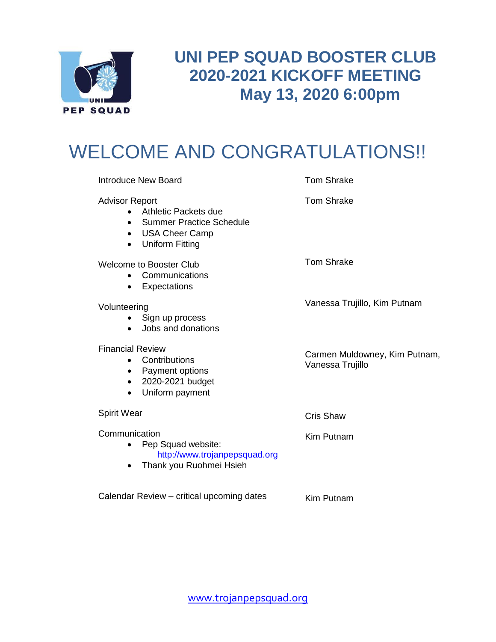

# **UNI PEP SQUAD BOOSTER CLUB 2020-2021 KICKOFF MEETING May 13, 2020 6:00pm**

# WELCOME AND CONGRATULATIONS!!

|                                                                             | <b>Introduce New Board</b>                                                                                 | <b>Tom Shrake</b>                                 |
|-----------------------------------------------------------------------------|------------------------------------------------------------------------------------------------------------|---------------------------------------------------|
| <b>Advisor Report</b><br>$\bullet$<br>$\bullet$<br>$\bullet$                | Athletic Packets due<br><b>Summer Practice Schedule</b><br><b>USA Cheer Camp</b><br><b>Uniform Fitting</b> | <b>Tom Shrake</b>                                 |
| $\bullet$                                                                   | Welcome to Booster Club<br>Communications<br>Expectations                                                  | <b>Tom Shrake</b>                                 |
| Volunteering<br>$\bullet$                                                   | Sign up process<br>Jobs and donations                                                                      | Vanessa Trujillo, Kim Putnam                      |
| <b>Financial Review</b><br>$\bullet$<br>$\bullet$<br>$\bullet$<br>$\bullet$ | Contributions<br>Payment options<br>2020-2021 budget<br>Uniform payment                                    | Carmen Muldowney, Kim Putnam,<br>Vanessa Trujillo |
| Spirit Wear                                                                 |                                                                                                            | <b>Cris Shaw</b>                                  |
| Communication<br>$\bullet$<br>$\bullet$                                     | Pep Squad website:<br>http://www.trojanpepsquad.org<br>Thank you Ruohmei Hsieh                             | Kim Putnam                                        |
|                                                                             | Calendar Review - critical upcoming dates                                                                  | Kim Putnam                                        |

Kim Putnam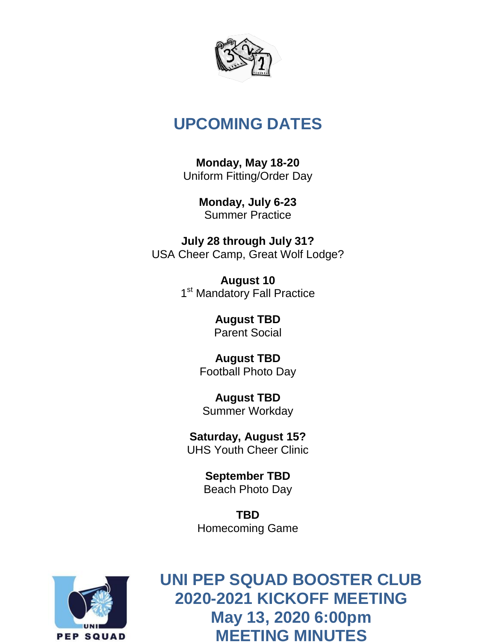

# **UPCOMING DATES**

**Monday, May 18-20** Uniform Fitting/Order Day

> **Monday, July 6-23** Summer Practice

**July 28 through July 31?** USA Cheer Camp, Great Wolf Lodge?

> **August 10** 1<sup>st</sup> Mandatory Fall Practice

> > **August TBD** Parent Social

**August TBD** Football Photo Day

**August TBD** Summer Workday

**Saturday, August 15?** UHS Youth Cheer Clinic

> **September TBD** Beach Photo Day

**TBD** Homecoming Game



[www.trojanpepsquad.org](http://www.trojanpepsquad.org/) **2020-2021 KICKOFF MEETING UNI PEP SQUAD BOOSTER CLUB May 13, 2020 6:00pm MEETING MINUTES**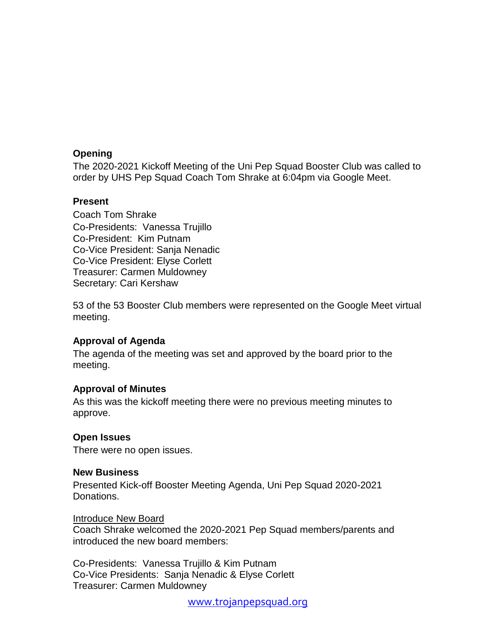# **Opening**

The 2020-2021 Kickoff Meeting of the Uni Pep Squad Booster Club was called to order by UHS Pep Squad Coach Tom Shrake at 6:04pm via Google Meet.

# **Present**

Coach Tom Shrake Co-Presidents: Vanessa Trujillo Co-President: Kim Putnam Co-Vice President: Sanja Nenadic Co-Vice President: Elyse Corlett Treasurer: Carmen Muldowney Secretary: Cari Kershaw

53 of the 53 Booster Club members were represented on the Google Meet virtual meeting.

# **Approval of Agenda**

The agenda of the meeting was set and approved by the board prior to the meeting.

# **Approval of Minutes**

As this was the kickoff meeting there were no previous meeting minutes to approve.

# **Open Issues**

There were no open issues.

# **New Business**

Presented Kick-off Booster Meeting Agenda, Uni Pep Squad 2020-2021 Donations.

# Introduce New Board

Coach Shrake welcomed the 2020-2021 Pep Squad members/parents and introduced the new board members:

Co-Presidents: Vanessa Trujillo & Kim Putnam Co-Vice Presidents: Sanja Nenadic & Elyse Corlett Treasurer: Carmen Muldowney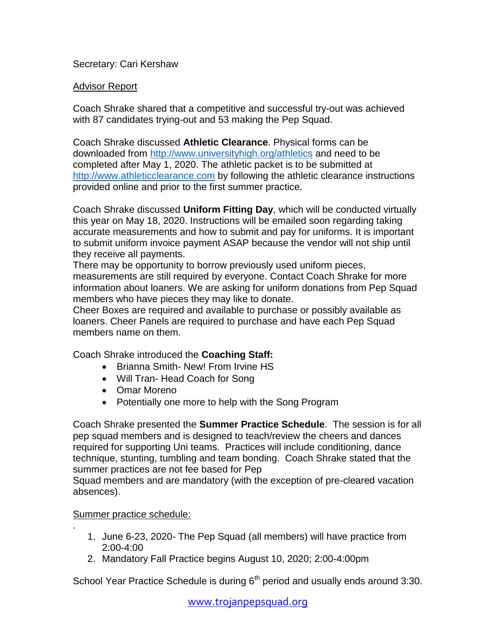# Secretary: Cari Kershaw

# Advisor Report

Coach Shrake shared that a competitive and successful try-out was achieved with 87 candidates trying-out and 53 making the Pep Squad.

Coach Shrake discussed **Athletic Clearance**. Physical forms can be downloaded from<http://www.universityhigh.org/athletics> and need to be completed after May 1, 2020. The athletic packet is to be submitted at [http://www.athleticclearance.com](http://www.athleticclearance.com/) by following the athletic clearance instructions provided online and prior to the first summer practice.

Coach Shrake discussed **Uniform Fitting Day**, which will be conducted virtually this year on May 18, 2020. Instructions will be emailed soon regarding taking accurate measurements and how to submit and pay for uniforms. It is important to submit uniform invoice payment ASAP because the vendor will not ship until they receive all payments.

There may be opportunity to borrow previously used uniform pieces, measurements are still required by everyone. Contact Coach Shrake for more information about loaners. We are asking for uniform donations from Pep Squad members who have pieces they may like to donate.

Cheer Boxes are required and available to purchase or possibly available as loaners. Cheer Panels are required to purchase and have each Pep Squad members name on them.

Coach Shrake introduced the **Coaching Staff:**

- Brianna Smith- New! From Irvine HS
- Will Tran- Head Coach for Song
- Omar Moreno
- Potentially one more to help with the Song Program

Coach Shrake presented the **Summer Practice Schedule**. The session is for all pep squad members and is designed to teach/review the cheers and dances required for supporting Uni teams. Practices will include conditioning, dance technique, stunting, tumbling and team bonding. Coach Shrake stated that the summer practices are not fee based for Pep

Squad members and are mandatory (with the exception of pre-cleared vacation absences).

# Summer practice schedule:

.

- 1. June 6-23, 2020- The Pep Squad (all members) will have practice from 2:00-4:00
- 2. Mandatory Fall Practice begins August 10, 2020; 2:00-4:00pm

School Year Practice Schedule is during  $6<sup>th</sup>$  period and usually ends around 3:30.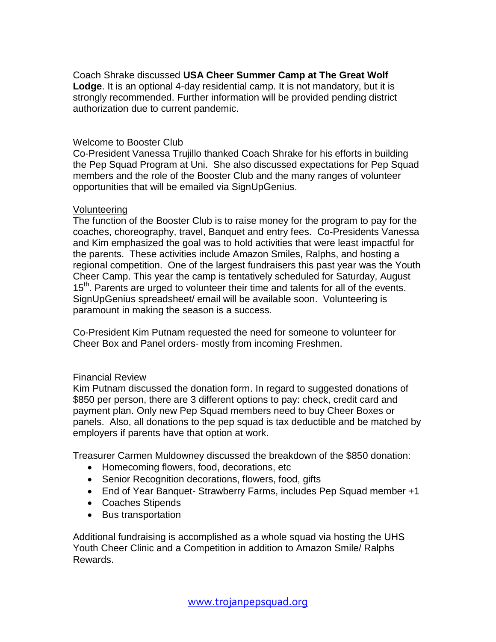Coach Shrake discussed **USA Cheer Summer Camp at The Great Wolf Lodge**. It is an optional 4-day residential camp. It is not mandatory, but it is strongly recommended. Further information will be provided pending district authorization due to current pandemic.

# Welcome to Booster Club

Co-President Vanessa Trujillo thanked Coach Shrake for his efforts in building the Pep Squad Program at Uni. She also discussed expectations for Pep Squad members and the role of the Booster Club and the many ranges of volunteer opportunities that will be emailed via SignUpGenius.

#### Volunteering

The function of the Booster Club is to raise money for the program to pay for the coaches, choreography, travel, Banquet and entry fees. Co-Presidents Vanessa and Kim emphasized the goal was to hold activities that were least impactful for the parents. These activities include Amazon Smiles, Ralphs, and hosting a regional competition. One of the largest fundraisers this past year was the Youth Cheer Camp. This year the camp is tentatively scheduled for Saturday, August 15<sup>th</sup>. Parents are urged to volunteer their time and talents for all of the events. SignUpGenius spreadsheet/ email will be available soon. Volunteering is paramount in making the season is a success.

Co-President Kim Putnam requested the need for someone to volunteer for Cheer Box and Panel orders- mostly from incoming Freshmen.

# Financial Review

Kim Putnam discussed the donation form. In regard to suggested donations of \$850 per person, there are 3 different options to pay: check, credit card and payment plan. Only new Pep Squad members need to buy Cheer Boxes or panels. Also, all donations to the pep squad is tax deductible and be matched by employers if parents have that option at work.

Treasurer Carmen Muldowney discussed the breakdown of the \$850 donation:

- Homecoming flowers, food, decorations, etc
- Senior Recognition decorations, flowers, food, gifts
- End of Year Banquet- Strawberry Farms, includes Pep Squad member +1
- Coaches Stipends
- Bus transportation

Additional fundraising is accomplished as a whole squad via hosting the UHS Youth Cheer Clinic and a Competition in addition to Amazon Smile/ Ralphs Rewards.